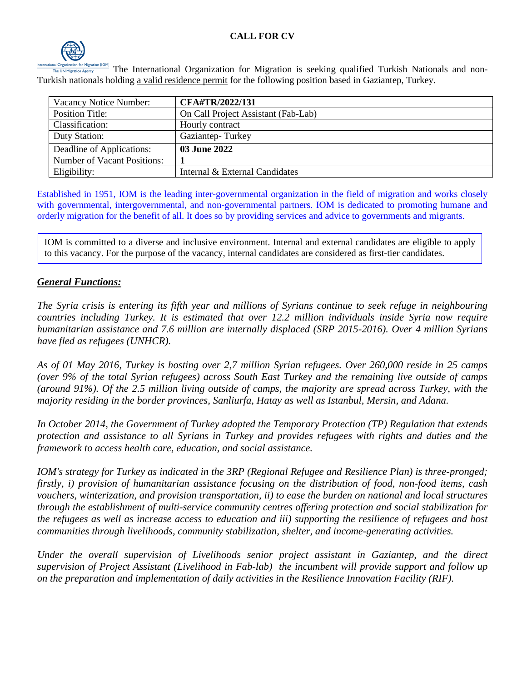

The International Organization for Migration is seeking qualified Turkish Nationals and non-Turkish nationals holding a valid residence permit for the following position based in Gaziantep, Turkey.

| Vacancy Notice Number:      | CFA#TR/2022/131                     |
|-----------------------------|-------------------------------------|
| Position Title:             | On Call Project Assistant (Fab-Lab) |
| Classification:             | Hourly contract                     |
| Duty Station:               | Gaziantep-Turkey                    |
| Deadline of Applications:   | 03 June 2022                        |
| Number of Vacant Positions: |                                     |
| Eligibility:                | Internal & External Candidates      |

Established in 1951, IOM is the leading inter-governmental organization in the field of migration and works closely with governmental, intergovernmental, and non-governmental partners. IOM is dedicated to promoting humane and orderly migration for the benefit of all. It does so by providing services and advice to governments and migrants.

IOM is committed to a diverse and inclusive environment. Internal and external candidates are eligible to apply to this vacancy. For the purpose of the vacancy, internal candidates are considered as first-tier candidates.

### *General Functions:*

*The Syria crisis is entering its fifth year and millions of Syrians continue to seek refuge in neighbouring countries including Turkey. It is estimated that over 12.2 million individuals inside Syria now require humanitarian assistance and 7.6 million are internally displaced (SRP 2015-2016). Over 4 million Syrians have fled as refugees (UNHCR).* 

*As of 01 May 2016, Turkey is hosting over 2,7 million Syrian refugees. Over 260,000 reside in 25 camps (over 9% of the total Syrian refugees) across South East Turkey and the remaining live outside of camps (around 91%). Of the 2.5 million living outside of camps, the majority are spread across Turkey, with the majority residing in the border provinces, Sanliurfa, Hatay as well as Istanbul, Mersin, and Adana.* 

*In October 2014, the Government of Turkey adopted the Temporary Protection (TP) Regulation that extends protection and assistance to all Syrians in Turkey and provides refugees with rights and duties and the framework to access health care, education, and social assistance.* 

*IOM's strategy for Turkey as indicated in the 3RP (Regional Refugee and Resilience Plan) is three-pronged; firstly, i) provision of humanitarian assistance focusing on the distribution of food, non-food items, cash vouchers, winterization, and provision transportation, ii) to ease the burden on national and local structures through the establishment of multi-service community centres offering protection and social stabilization for the refugees as well as increase access to education and iii) supporting the resilience of refugees and host communities through livelihoods, community stabilization, shelter, and income-generating activities.* 

*Under the overall supervision of Livelihoods senior project assistant in Gaziantep, and the direct supervision of Project Assistant (Livelihood in Fab-lab) the incumbent will provide support and follow up on the preparation and implementation of daily activities in the Resilience Innovation Facility (RIF).*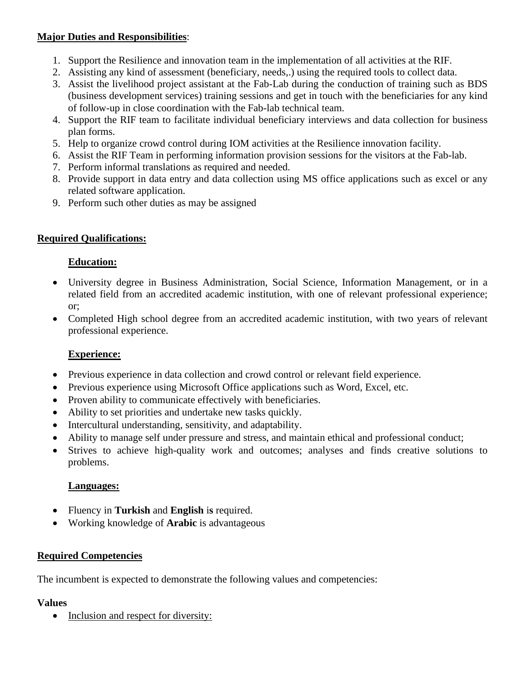### **Major Duties and Responsibilities**:

- 1. Support the Resilience and innovation team in the implementation of all activities at the RIF.
- 2. Assisting any kind of assessment (beneficiary, needs,.) using the required tools to collect data.
- 3. Assist the livelihood project assistant at the Fab-Lab during the conduction of training such as BDS (business development services) training sessions and get in touch with the beneficiaries for any kind of follow-up in close coordination with the Fab-lab technical team.
- 4. Support the RIF team to facilitate individual beneficiary interviews and data collection for business plan forms.
- 5. Help to organize crowd control during IOM activities at the Resilience innovation facility.
- 6. Assist the RIF Team in performing information provision sessions for the visitors at the Fab-lab.
- 7. Perform informal translations as required and needed.
- 8. Provide support in data entry and data collection using MS office applications such as excel or any related software application.
- 9. Perform such other duties as may be assigned

# **Required Qualifications:**

# **Education:**

- University degree in Business Administration, Social Science, Information Management, or in a related field from an accredited academic institution, with one of relevant professional experience; or;
- Completed High school degree from an accredited academic institution, with two years of relevant professional experience.

# **Experience:**

- Previous experience in data collection and crowd control or relevant field experience.
- Previous experience using Microsoft Office applications such as Word, Excel, etc.
- Proven ability to communicate effectively with beneficiaries.
- Ability to set priorities and undertake new tasks quickly.
- Intercultural understanding, sensitivity, and adaptability.
- Ability to manage self under pressure and stress, and maintain ethical and professional conduct;
- Strives to achieve high-quality work and outcomes; analyses and finds creative solutions to problems.

# **Languages:**

- Fluency in **Turkish** and **English** i**s** required.
- Working knowledge of **Arabic** is advantageous

### **Required Competencies**

The incumbent is expected to demonstrate the following values and competencies:

### **Values**

• Inclusion and respect for diversity: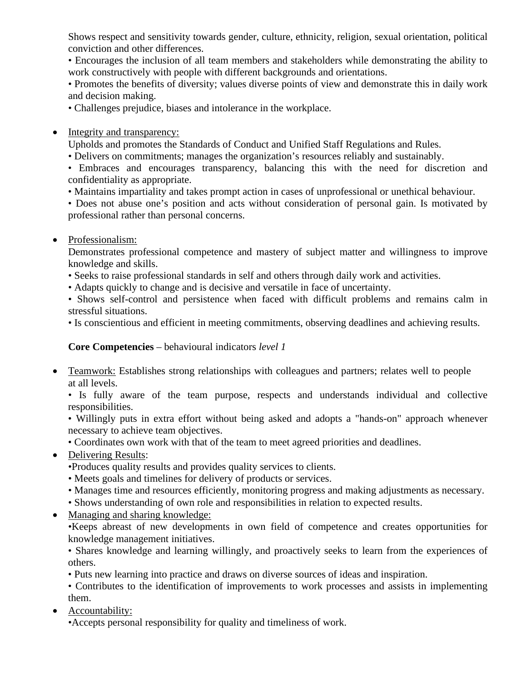Shows respect and sensitivity towards gender, culture, ethnicity, religion, sexual orientation, political conviction and other differences.

• Encourages the inclusion of all team members and stakeholders while demonstrating the ability to work constructively with people with different backgrounds and orientations.

• Promotes the benefits of diversity; values diverse points of view and demonstrate this in daily work and decision making.

• Challenges prejudice, biases and intolerance in the workplace.

• Integrity and transparency:

Upholds and promotes the Standards of Conduct and Unified Staff Regulations and Rules.

• Delivers on commitments; manages the organization's resources reliably and sustainably.

• Embraces and encourages transparency, balancing this with the need for discretion and confidentiality as appropriate.

• Maintains impartiality and takes prompt action in cases of unprofessional or unethical behaviour.

• Does not abuse one's position and acts without consideration of personal gain. Is motivated by professional rather than personal concerns.

• Professionalism:

Demonstrates professional competence and mastery of subject matter and willingness to improve knowledge and skills.

- Seeks to raise professional standards in self and others through daily work and activities.
- Adapts quickly to change and is decisive and versatile in face of uncertainty.

• Shows self-control and persistence when faced with difficult problems and remains calm in stressful situations.

• Is conscientious and efficient in meeting commitments, observing deadlines and achieving results.

#### **Core Competencies** – behavioural indicators *level 1*

• Teamwork: Establishes strong relationships with colleagues and partners; relates well to people at all levels.

• Is fully aware of the team purpose, respects and understands individual and collective responsibilities.

• Willingly puts in extra effort without being asked and adopts a "hands-on" approach whenever necessary to achieve team objectives.

• Coordinates own work with that of the team to meet agreed priorities and deadlines.

• Delivering Results:

•Produces quality results and provides quality services to clients.

- Meets goals and timelines for delivery of products or services.
- Manages time and resources efficiently, monitoring progress and making adjustments as necessary.
- Shows understanding of own role and responsibilities in relation to expected results.
- Managing and sharing knowledge:

•Keeps abreast of new developments in own field of competence and creates opportunities for knowledge management initiatives.

• Shares knowledge and learning willingly, and proactively seeks to learn from the experiences of others.

• Puts new learning into practice and draws on diverse sources of ideas and inspiration.

• Contributes to the identification of improvements to work processes and assists in implementing them.

• Accountability:

•Accepts personal responsibility for quality and timeliness of work.